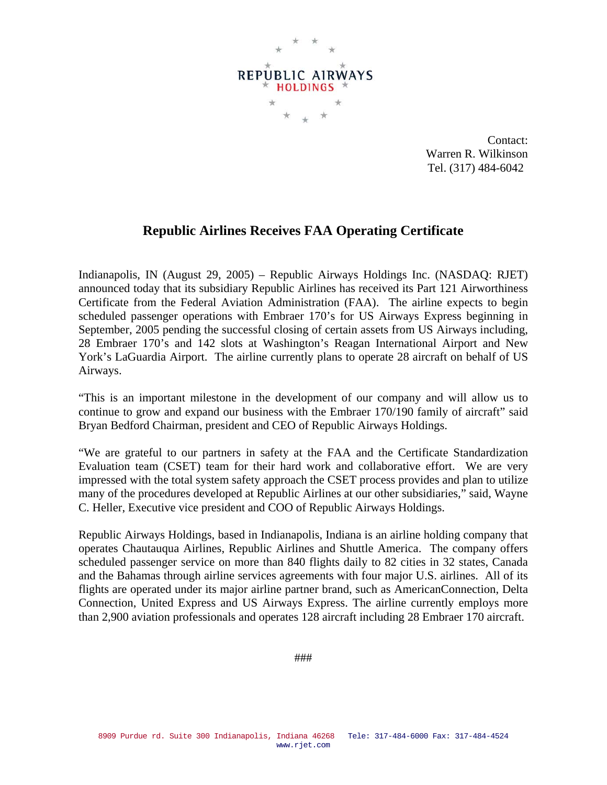

Contact: Warren R. Wilkinson Tel. (317) 484-6042

## **Republic Airlines Receives FAA Operating Certificate**

Indianapolis, IN (August 29, 2005) – Republic Airways Holdings Inc. (NASDAQ: RJET) announced today that its subsidiary Republic Airlines has received its Part 121 Airworthiness Certificate from the Federal Aviation Administration (FAA). The airline expects to begin scheduled passenger operations with Embraer 170's for US Airways Express beginning in September, 2005 pending the successful closing of certain assets from US Airways including, 28 Embraer 170's and 142 slots at Washington's Reagan International Airport and New York's LaGuardia Airport. The airline currently plans to operate 28 aircraft on behalf of US Airways.

"This is an important milestone in the development of our company and will allow us to continue to grow and expand our business with the Embraer 170/190 family of aircraft" said Bryan Bedford Chairman, president and CEO of Republic Airways Holdings.

"We are grateful to our partners in safety at the FAA and the Certificate Standardization Evaluation team (CSET) team for their hard work and collaborative effort. We are very impressed with the total system safety approach the CSET process provides and plan to utilize many of the procedures developed at Republic Airlines at our other subsidiaries," said, Wayne C. Heller, Executive vice president and COO of Republic Airways Holdings.

Republic Airways Holdings, based in Indianapolis, Indiana is an airline holding company that operates Chautauqua Airlines, Republic Airlines and Shuttle America. The company offers scheduled passenger service on more than 840 flights daily to 82 cities in 32 states, Canada and the Bahamas through airline services agreements with four major U.S. airlines. All of its flights are operated under its major airline partner brand, such as AmericanConnection, Delta Connection, United Express and US Airways Express. The airline currently employs more than 2,900 aviation professionals and operates 128 aircraft including 28 Embraer 170 aircraft.

###